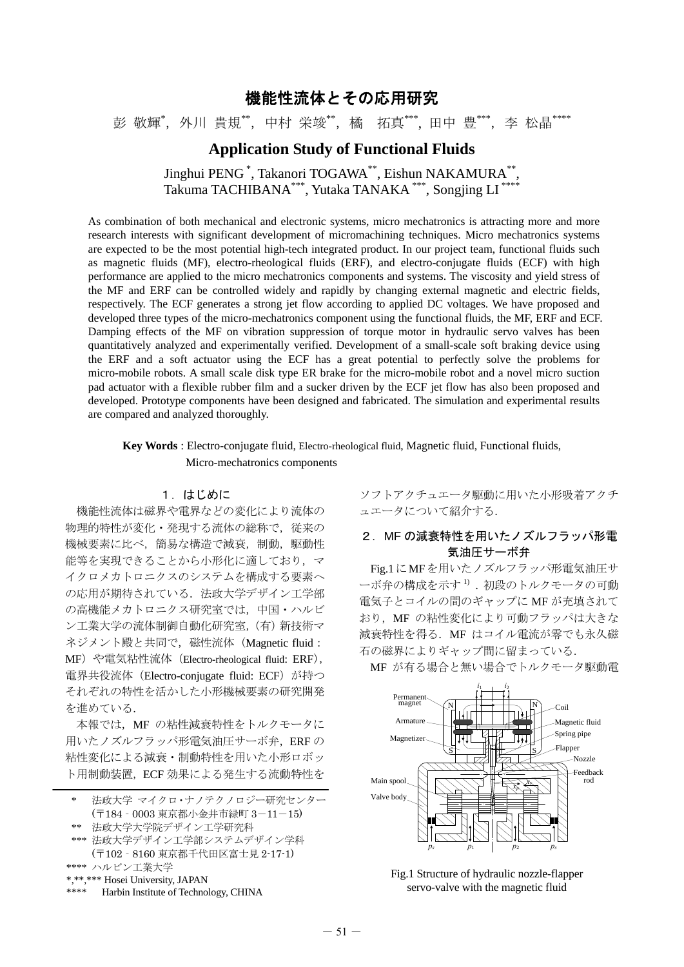# 機能性流体とその応用研究

彭 敬輝\*, 外川 貴規\*\*, 中村 栄竣\*\*, 橘 拓真\*\*\*, 田中 豊\*\*\*, 李 松晶\*\*\*\*

## **Application Study of Functional Fluids**

Jinghui PENG \*, Takanori TOGAWA\*\*, Eishun NAKAMURA\*\*, Takuma TACHIBANA\*\*\*, Yutaka TANAKA \*\*\*, Songjing LI \*\*\*\*

As combination of both mechanical and electronic systems, micro mechatronics is attracting more and more research interests with significant development of micromachining techniques. Micro mechatronics systems are expected to be the most potential high-tech integrated product. In our project team, functional fluids such as magnetic fluids (MF), electro-rheological fluids (ERF), and electro-conjugate fluids (ECF) with high performance are applied to the micro mechatronics components and systems. The viscosity and yield stress of the MF and ERF can be controlled widely and rapidly by changing external magnetic and electric fields, respectively. The ECF generates a strong jet flow according to applied DC voltages. We have proposed and developed three types of the micro-mechatronics component using the functional fluids, the MF, ERF and ECF. Damping effects of the MF on vibration suppression of torque motor in hydraulic servo valves has been quantitatively analyzed and experimentally verified. Development of a small-scale soft braking device using the ERF and a soft actuator using the ECF has a great potential to perfectly solve the problems for micro-mobile robots. A small scale disk type ER brake for the micro-mobile robot and a novel micro suction pad actuator with a flexible rubber film and a sucker driven by the ECF jet flow has also been proposed and developed. Prototype components have been designed and fabricated. The simulation and experimental results are compared and analyzed thoroughly.

**Key Words** : Electro-conjugate fluid, Electro-rheological fluid, Magnetic fluid, Functional fluids, Micro-mechatronics components

### 1.はじめに

 機能性流体は磁界や電界などの変化により流体の 物理的特性が変化・発現する流体の総称で,従来の 機械要素に比べ,簡易な構造で減衰,制動,駆動性 能等を実現できることから小形化に適しており、マ イクロメカトロニクスのシステムを構成する要素へ の応用が期待されている. 法政大学デザイン工学部 の高機能メカトロニクス研究室では,中国・ハルビ ン工業大学の流体制御自動化研究室,(有)新技術マ ネジメント殿と共同で,磁性流体 (Magnetic fluid: MF) や電気粘性流体 (Electro-rheological fluid: ERF), 電界共役流体(Electro-conjugate fluid: ECF)が持つ それぞれの特性を活かした小形機械要素の研究開発 を進めている.

本報では、MF の粘性減衰特性をトルクモータに 用いたノズルフラッパ形電気油圧サーボ弁, ERF の 粘性変化による減衰・制動特性を用いた小形ロボッ ト用制動装置,ECF 効果による発生する流動特性を

\*\*\*\* Harbin Institute of Technology, CHINA

ソフトアクチュエータ駆動に用いた小形吸着アクチ ュエータについて紹介する.

## 2. MF の減衰特性を用いたノズルフラッパ形雷 気油圧サーボ弁

Fig.1にMFを用いたノズルフラッパ形電気油圧サ ーボ弁の構成を示す<sup>1)</sup>.初段のトルクモータの可動 電気子とコイルの間のギャップに MF が充填されて おり, MF の粘性変化により可動フラッパは大きな 減衰特性を得る.MF はコイル電流が零でも永久磁 石の磁界によりギャップ間に留まっている.

MF が有る場合と無い場合でトルクモータ駆動電



Fig.1 Structure of hydraulic nozzle-flapper servo-valve with the magnetic fluid

法政大学 マイクロ・ナノテクノロジー研究センター (〒184‐0003 東京都小金井市緑町 3-11-15)

<sup>\*\*</sup> 法政大学大学院デザイン工学研究科

<sup>\*\*\*</sup> 法政大学デザイン工学部システムデザイン学科 (〒102‐8160 東京都千代田区富士見 2-17-1)

<sup>\*\*\*\*</sup> ハルビン工業大学

<sup>\*,\*\*,\*\*\*</sup> Hosei University, JAPAN